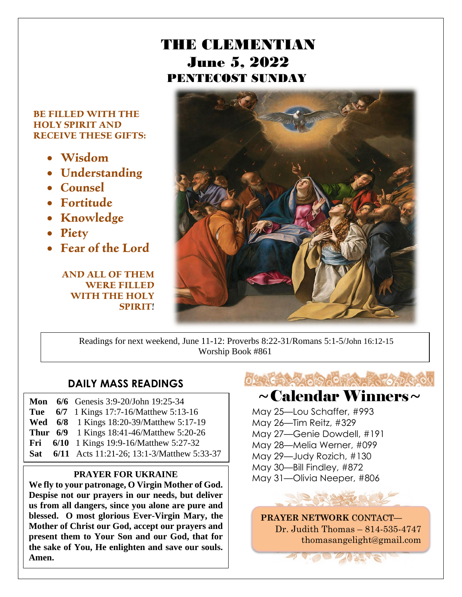### THE CLEMENTIAN June 5, 2022 PENTECOST SUNDAY

#### **BE FILLED WITH THE HOLY SPIRIT AND RECEIVE THESE GIFTS:**

- **Wisdom**
- **Understanding**
- **Counsel**
- **Fortitude**
- **Knowledge**
- **Piety**
- **Fear of the Lord**

**AND ALL OF THEM WERE FILLED WITH THE HOLY SPIRIT**!



Readings for next weekend, June 11-12: Proverbs 8:22-31/Romans 5:1-5/John 16:12-15 Worship Book #861

#### **DAILY MASS READINGS**

**Mon 6/6** Genesis 3:9-20/John 19:25-34 **Tue 6/7** 1 Kings 17:7-16/Matthew 5:13-16 **Wed 6/8** 1 Kings 18:20-39/Matthew 5:17-19 **Thur 6/9** 1 Kings 18:41-46/Matthew 5:20-26 **Fri 6/10** 1 Kings 19:9-16/Matthew 5:27-32 **Sat 6/11** Acts 11:21-26; 13:1-3/Matthew 5:33-37

**We fly to your patronage, O Virgin Mother of God. Despise not our prayers in our needs, but deliver us from all dangers, since you alone are pure and blessed. O most glorious Ever-Virgin Mary, the Mother of Christ our God, accept our prayers and present them to Your Son and our God, that for the sake of You, He enlighten and save our souls. Amen.**



### $\sim$ Calendar Winners $\sim$

 May 25—Lou Schaffer, #993 May 26—Tim Reitz, #329 May 27—Genie Dowdell, #191 May 28—Melia Werner, #099 May 29—Judy Rozich, #130 May 30—Bill Findley, #872 **PRAYER FOR UKRAINE** May 31—Olivia Neeper, #806

> **PRAYER NETWORK** CONTACT**—** Dr. Judith Thomas – 814-535-4747 thomasangelight@gmail.com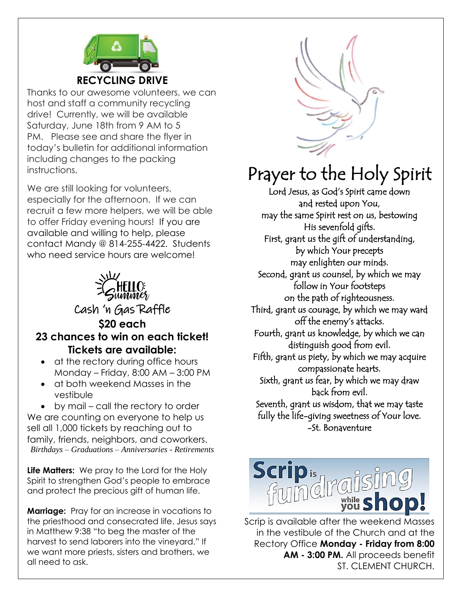

Thanks to our awesome volunteers, we can host and staff a community recycling drive! Currently, we will be available Saturday, June 18th from 9 AM to 5 PM. Please see and share the flyer in today's bulletin for additional information including changes to the packing instructions.

We are still looking for volunteers, especially for the afternoon. If we can recruit a few more helpers, we will be able to offer Friday evening hours! If you are available and willing to help, please contact Mandy @ 814-255-4422. Students who need service hours are welcome!



- at the rectory during office hours Monday – Friday, 8:00 AM – 3:00 PM
- at both weekend Masses in the vestibule

• by mail – call the rectory to order We are counting on everyone to help us sell all 1,000 tickets by reaching out to family, friends, neighbors, and coworkers. *Birthdays – Graduations – Anniversaries - Retirements*

**Life Matters:** We pray to the Lord for the Holy Spirit to strengthen God's people to embrace and protect the precious gift of human life.

**Marriage:** Pray for an increase in vocations to the priesthood and consecrated life. Jesus says in Matthew 9:38 "to beg the master of the harvest to send laborers into the vineyard." If we want more priests, sisters and brothers, we all need to ask.



## Prayer to the Holy Spirit

Lord Jesus, as God's Spirit came down and rested upon You, may the same Spirit rest on us, bestowing His sevenfold gifts. First, grant us the gift of understanding, by which Your precepts may enlighten our minds. Second, grant us counsel, by which we may follow in Your footsteps on the path of righteousness. Third, grant us courage, by which we may ward off the enemy's attacks. Fourth, grant us knowledge, by which we can distinguish good from evil. Fifth, grant us piety, by which we may acquire compassionate hearts. Sixth, grant us fear, by which we may draw back from evil. Seventh, grant us wisdom, that we may taste fully the life-giving sweetness of Your love. -St. Bonaventure



Scrip is available after the weekend Masses in the vestibule of the Church and at the Rectory Office **Monday - Friday from 8:00 AM - 3:00 PM.** All proceeds benefit ST. CLEMENT CHURCH.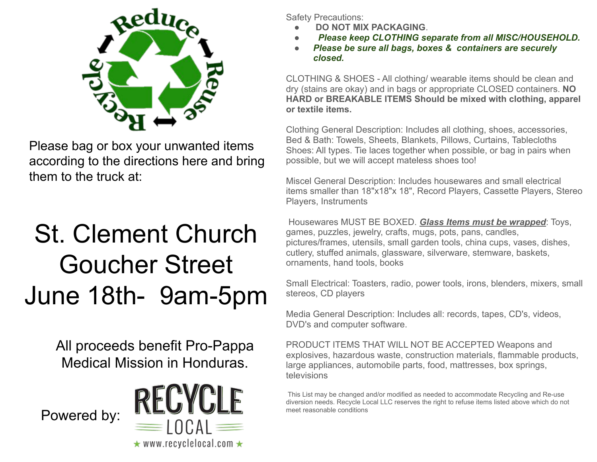

Please bag or box your unwanted items according to the directions here and bring them to the truck at:

# St. Clement Church Goucher Street June 18th- 9am-5pm

All proceeds benefit Pro-Pappa Medical Mission in Honduras.



Safety Precautions:

- ● **DO NOT MIX PACKAGING**.
- **Please keep CLOTHING separate from all MISC/HOUSEHOLD.**
- **Please be sure all bags, boxes & containers are securely** *closed.*

CLOTHING & SHOES - All clothing/ wearable items should be clean and dry (stains are okay) and in bags or appropriate CLOSED containers. **NO HARD or BREAKABLE ITEMS Should be mixed with clothing, apparel or textile items.**

Clothing General Description: Includes all clothing, shoes, accessories, Bed & Bath: Towels, Sheets, Blankets, Pillows, Curtains, Tablecloths Shoes: All types. Tie laces together when possible, or bag in pairs when possible, but we will accept mateless shoes too!

Miscel General Description: Includes housewares and small electrical items smaller than 18"x18"x 18", Record Players, Cassette Players, Stereo Players, Instruments

 Housewares MUST BE BOXED. *Glass Items must be wrapped*: Toys, games, puzzles, jewelry, crafts, mugs, pots, pans, candles, pictures/frames, utensils, small garden tools, china cups, vases, dishes, cutlery, stuffed animals, glassware, silverware, stemware, baskets, ornaments, hand tools, books

Small Electrical: Toasters, radio, power tools, irons, blenders, mixers, small stereos, CD players

Media General Description: Includes all: records, tapes, CD's, videos, DVD's and computer software.

PRODUCT ITEMS THAT WILL NOT BE ACCEPTED Weapons and explosives, hazardous waste, construction materials, flammable products, large appliances, automobile parts, food, mattresses, box springs, televisions

 This List may be changed and/or modified as needed to accommodate Recycling and Re-use diversion needs. Recycle Local LLC reserves the right to refuse items listed above which do not meet reasonable conditions